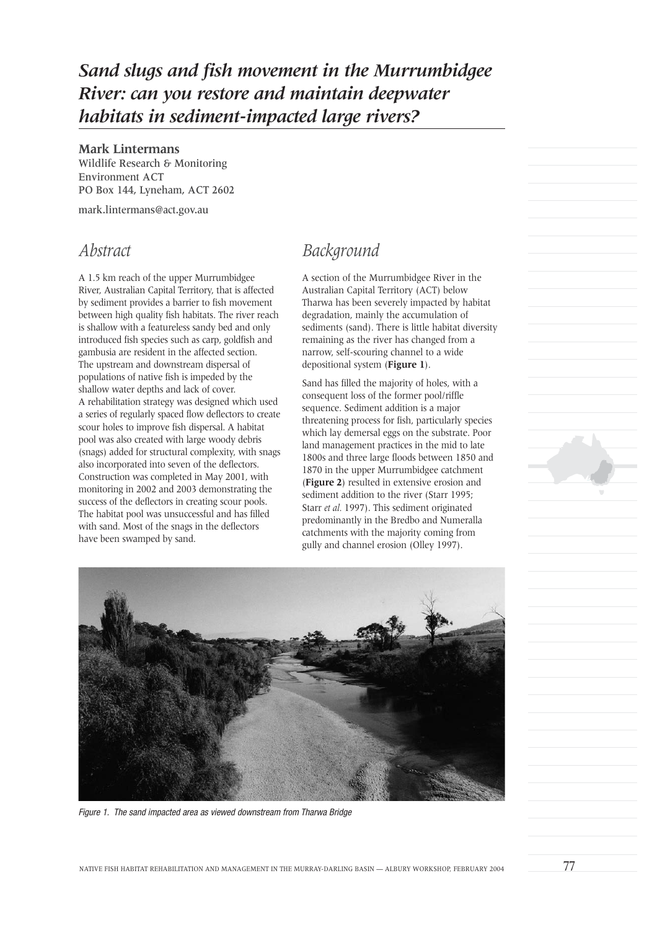# *Sand slugs and fish movement in the Murrumbidgee River: can you restore and maintain deepwater habitats in sediment-impacted large rivers?*

#### **Mark Lintermans**

Wildlife Research & Monitoring Environment ACT PO Box 144, Lyneham, ACT 2602

mark.lintermans@act.gov.au

#### *Abstract*

A 1.5 km reach of the upper Murrumbidgee River, Australian Capital Territory, that is affected by sediment provides a barrier to fish movement between high quality fish habitats. The river reach is shallow with a featureless sandy bed and only introduced fish species such as carp, goldfish and gambusia are resident in the affected section. The upstream and downstream dispersal of populations of native fish is impeded by the shallow water depths and lack of cover. A rehabilitation strategy was designed which used a series of regularly spaced flow deflectors to create scour holes to improve fish dispersal. A habitat pool was also created with large woody debris (snags) added for structural complexity, with snags also incorporated into seven of the deflectors. Construction was completed in May 2001, with monitoring in 2002 and 2003 demonstrating the success of the deflectors in creating scour pools. The habitat pool was unsuccessful and has filled with sand. Most of the snags in the deflectors have been swamped by sand.

## *Background*

A section of the Murrumbidgee River in the Australian Capital Territory (ACT) below Tharwa has been severely impacted by habitat degradation, mainly the accumulation of sediments (sand). There is little habitat diversity remaining as the river has changed from a narrow, self-scouring channel to a wide depositional system (**Figure 1**).

Sand has filled the majority of holes, with a consequent loss of the former pool/riffle sequence. Sediment addition is a major threatening process for fish, particularly species which lay demersal eggs on the substrate. Poor land management practices in the mid to late 1800s and three large floods between 1850 and 1870 in the upper Murrumbidgee catchment (**Figure 2**) resulted in extensive erosion and sediment addition to the river (Starr 1995; Starr *et al.* 1997). This sediment originated predominantly in the Bredbo and Numeralla catchments with the majority coming from gully and channel erosion (Olley 1997).



Figure 1. The sand impacted area as viewed downstream from Tharwa Bridge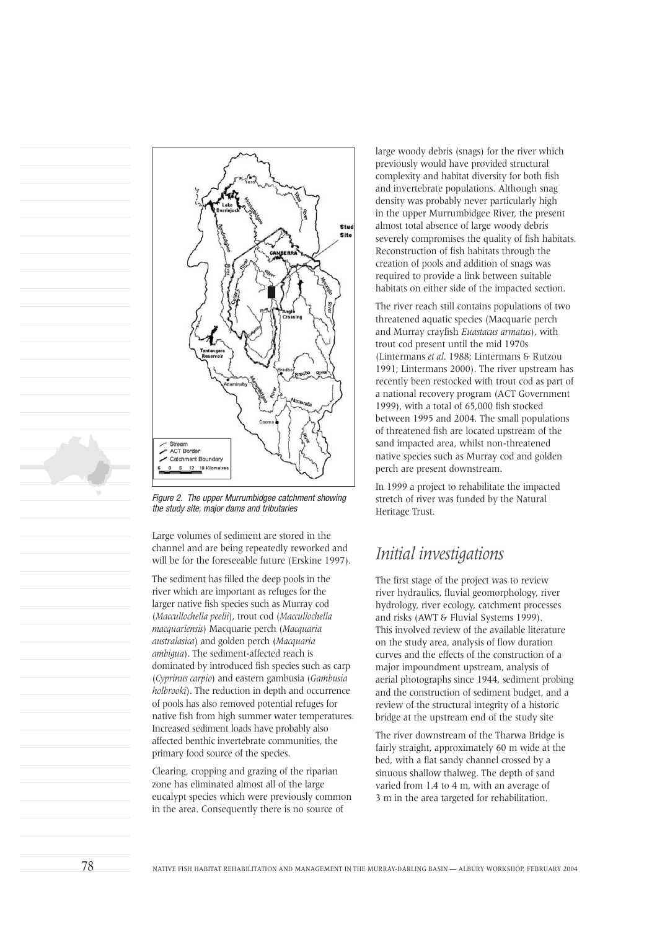

Figure 2. The upper Murrumbidgee catchment showing the study site, major dams and tributaries

Large volumes of sediment are stored in the channel and are being repeatedly reworked and will be for the foreseeable future (Erskine 1997).

The sediment has filled the deep pools in the river which are important as refuges for the larger native fish species such as Murray cod (*Maccullochella peelii*), trout cod (*Maccullochella macquariensis*) Macquarie perch (*Macquaria australasica*) and golden perch (*Macquaria ambigua*). The sediment-affected reach is dominated by introduced fish species such as carp (*Cyprinus carpio*) and eastern gambusia (*Gambusia holbrooki*). The reduction in depth and occurrence of pools has also removed potential refuges for native fish from high summer water temperatures. Increased sediment loads have probably also affected benthic invertebrate communities, the primary food source of the species.

Clearing, cropping and grazing of the riparian zone has eliminated almost all of the large eucalypt species which were previously common in the area. Consequently there is no source of

large woody debris (snags) for the river which previously would have provided structural complexity and habitat diversity for both fish and invertebrate populations. Although snag density was probably never particularly high in the upper Murrumbidgee River, the present almost total absence of large woody debris severely compromises the quality of fish habitats. Reconstruction of fish habitats through the creation of pools and addition of snags was required to provide a link between suitable habitats on either side of the impacted section.

The river reach still contains populations of two threatened aquatic species (Macquarie perch and Murray crayfish *Euastacus armatus*), with trout cod present until the mid 1970s (Lintermans *et al*. 1988; Lintermans & Rutzou 1991; Lintermans 2000). The river upstream has recently been restocked with trout cod as part of a national recovery program (ACT Government 1999), with a total of 65,000 fish stocked between 1995 and 2004. The small populations of threatened fish are located upstream of the sand impacted area, whilst non-threatened native species such as Murray cod and golden perch are present downstream.

In 1999 a project to rehabilitate the impacted stretch of river was funded by the Natural Heritage Trust.

### *Initial investigations*

The first stage of the project was to review river hydraulics, fluvial geomorphology, river hydrology, river ecology, catchment processes and risks (AWT & Fluvial Systems 1999). This involved review of the available literature on the study area, analysis of flow duration curves and the effects of the construction of a major impoundment upstream, analysis of aerial photographs since 1944, sediment probing and the construction of sediment budget, and a review of the structural integrity of a historic bridge at the upstream end of the study site

The river downstream of the Tharwa Bridge is fairly straight, approximately 60 m wide at the bed, with a flat sandy channel crossed by a sinuous shallow thalweg. The depth of sand varied from 1.4 to 4 m, with an average of 3 m in the area targeted for rehabilitation.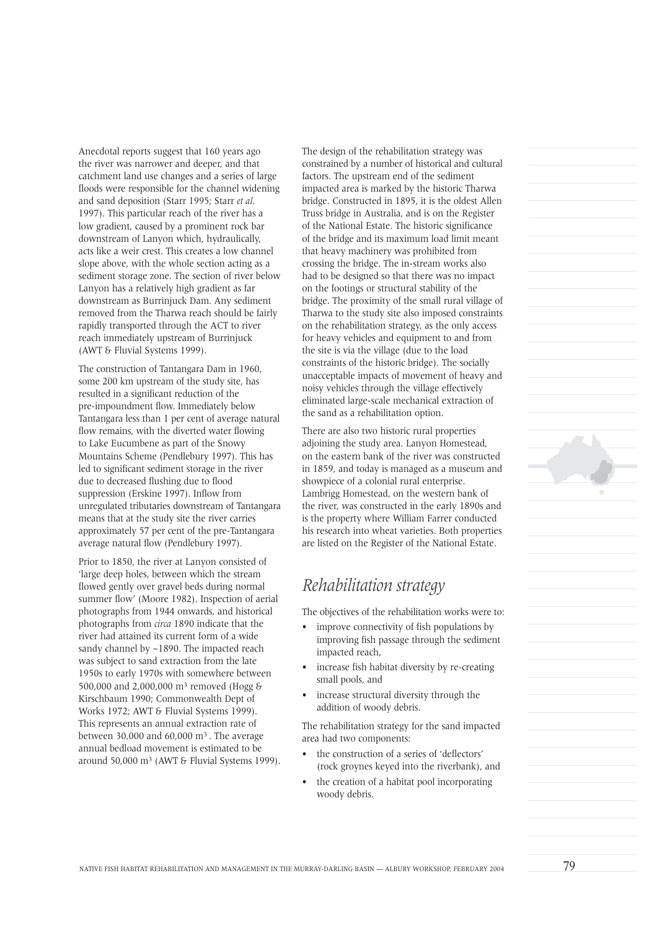Anecdotal reports suggest that 160 years ago the river was narrower and deeper, and that catchment land use changes and a series of large floods were responsible for the channel widening and sand deposition (Starr 1995; Starr *et al*. 1997). This particular reach of the river has a low gradient, caused by a prominent rock bar downstream of Lanyon which, hydraulically, acts like a weir crest. This creates a low channel slope above, with the whole section acting as a sediment storage zone. The section of river below Lanyon has a relatively high gradient as far downstream as Burrinjuck Dam. Any sediment removed from the Tharwa reach should be fairly rapidly transported through the ACT to river reach immediately upstream of Burrinjuck (AWT & Fluvial Systems 1999).

The construction of Tantangara Dam in 1960, some 200 km upstream of the study site, has resulted in a significant reduction of the pre-impoundment flow. Immediately below Tantangara less than 1 per cent of average natural flow remains, with the diverted water flowing to Lake Eucumbene as part of the Snowy Mountains Scheme (Pendlebury 1997). This has led to significant sediment storage in the river due to decreased flushing due to flood suppression (Erskine 1997). Inflow from unregulated tributaries downstream of Tantangara means that at the study site the river carries approximately 57 per cent of the pre-Tantangara average natural flow (Pendlebury 1997).

Prior to 1850, the river at Lanyon consisted of 'large deep holes, between which the stream flowed gently over gravel beds during normal summer flow' (Moore 1982). Inspection of aerial photographs from 1944 onwards, and historical photographs from *circa* 1890 indicate that the river had attained its current form of a wide sandy channel by ~1890. The impacted reach was subject to sand extraction from the late 1950s to early 1970s with somewhere between 500,000 and 2,000,000 m3 removed (Hogg & Kirschbaum 1990; Commonwealth Dept of Works 1972; AWT & Fluvial Systems 1999). This represents an annual extraction rate of between 30,000 and 60,000 m3 . The average annual bedload movement is estimated to be around 50,000 m3 (AWT & Fluvial Systems 1999). The design of the rehabilitation strategy was constrained by a number of historical and cultural factors. The upstream end of the sediment impacted area is marked by the historic Tharwa bridge. Constructed in 1895, it is the oldest Allen Truss bridge in Australia, and is on the Register of the National Estate. The historic significance of the bridge and its maximum load limit meant that heavy machinery was prohibited from crossing the bridge. The in-stream works also had to be designed so that there was no impact on the footings or structural stability of the bridge. The proximity of the small rural village of Tharwa to the study site also imposed constraints on the rehabilitation strategy, as the only access for heavy vehicles and equipment to and from the site is via the village (due to the load constraints of the historic bridge). The socially unacceptable impacts of movement of heavy and noisy vehicles through the village effectively eliminated large-scale mechanical extraction of the sand as a rehabilitation option.

There are also two historic rural properties adjoining the study area. Lanyon Homestead, on the eastern bank of the river was constructed in 1859, and today is managed as a museum and showpiece of a colonial rural enterprise. Lambrigg Homestead, on the western bank of the river, was constructed in the early 1890s and is the property where William Farrer conducted his research into wheat varieties. Both properties are listed on the Register of the National Estate.

### *Rehabilitation strategy*

The objectives of the rehabilitation works were to:

- improve connectivity of fish populations by improving fish passage through the sediment impacted reach,
- increase fish habitat diversity by re-creating small pools, and
- increase structural diversity through the addition of woody debris.

The rehabilitation strategy for the sand impacted area had two components:

- the construction of a series of 'deflectors' (rock groynes keyed into the riverbank), and
- the creation of a habitat pool incorporating woody debris.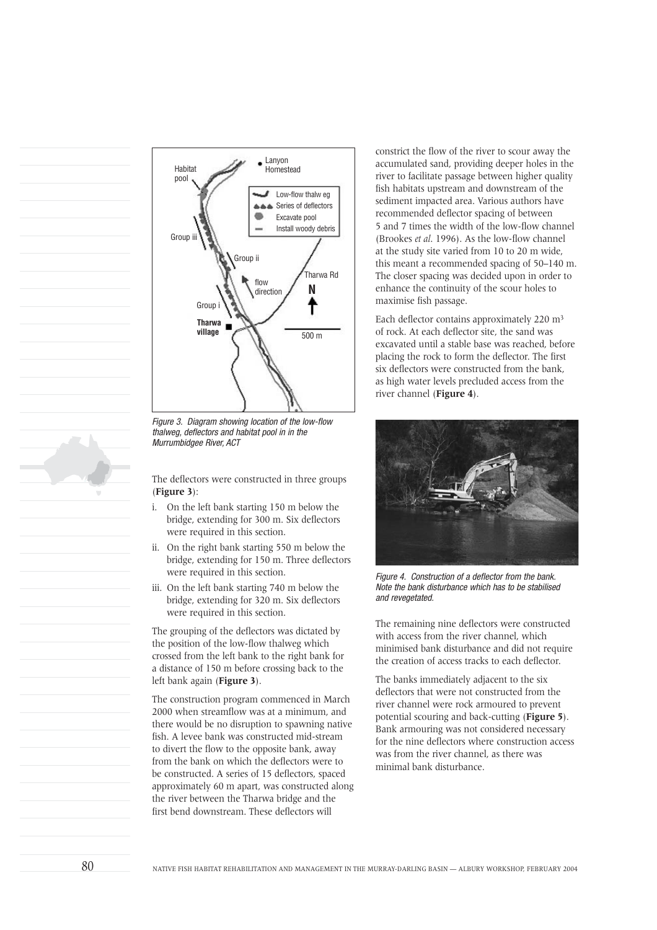

Figure 3. Diagram showing location of the low-flow thalweg, deflectors and habitat pool in in the Murrumbidgee River, ACT

The deflectors were constructed in three groups (**Figure 3**):

- i. On the left bank starting 150 m below the bridge, extending for 300 m. Six deflectors were required in this section.
- ii. On the right bank starting 550 m below the bridge, extending for 150 m. Three deflectors were required in this section.
- iii. On the left bank starting 740 m below the bridge, extending for 320 m. Six deflectors were required in this section.

The grouping of the deflectors was dictated by the position of the low-flow thalweg which crossed from the left bank to the right bank for a distance of 150 m before crossing back to the left bank again (**Figure 3**).

The construction program commenced in March 2000 when streamflow was at a minimum, and there would be no disruption to spawning native fish. A levee bank was constructed mid-stream to divert the flow to the opposite bank, away from the bank on which the deflectors were to be constructed. A series of 15 deflectors, spaced approximately 60 m apart, was constructed along the river between the Tharwa bridge and the first bend downstream. These deflectors will

constrict the flow of the river to scour away the accumulated sand, providing deeper holes in the river to facilitate passage between higher quality fish habitats upstream and downstream of the sediment impacted area. Various authors have recommended deflector spacing of between 5 and 7 times the width of the low-flow channel (Brookes *et al*. 1996). As the low-flow channel at the study site varied from 10 to 20 m wide, this meant a recommended spacing of 50–140 m. The closer spacing was decided upon in order to enhance the continuity of the scour holes to maximise fish passage.

Each deflector contains approximately 220 m3 of rock. At each deflector site, the sand was excavated until a stable base was reached, before placing the rock to form the deflector. The first six deflectors were constructed from the bank, as high water levels precluded access from the river channel (**Figure 4**).



Figure 4. Construction of a deflector from the bank. Note the bank disturbance which has to be stabilised and revegetated.

The remaining nine deflectors were constructed with access from the river channel, which minimised bank disturbance and did not require the creation of access tracks to each deflector.

The banks immediately adjacent to the six deflectors that were not constructed from the river channel were rock armoured to prevent potential scouring and back-cutting (**Figure 5**). Bank armouring was not considered necessary for the nine deflectors where construction access was from the river channel, as there was minimal bank disturbance.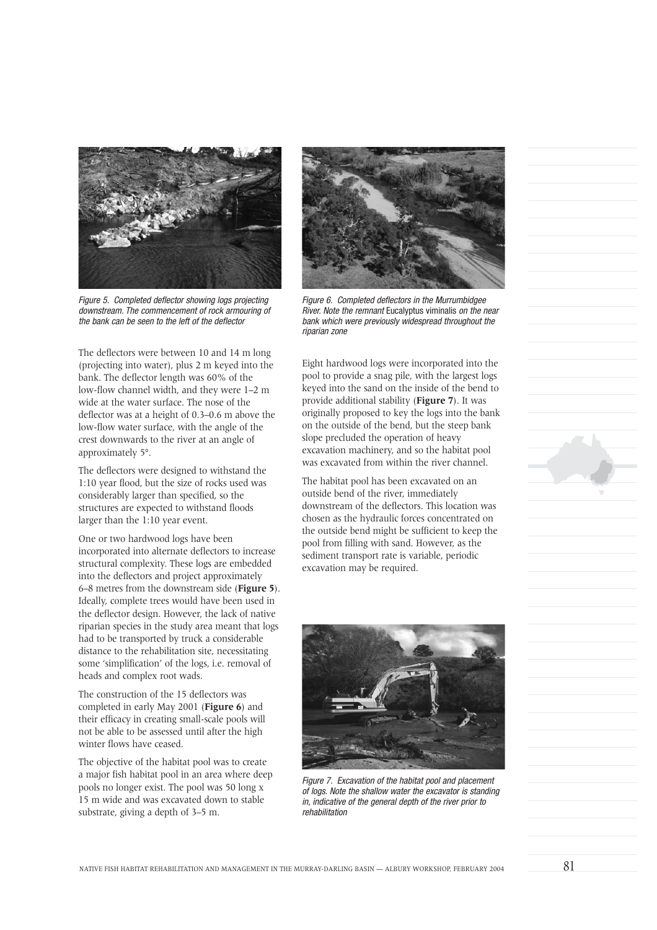

Figure 5. Completed deflector showing logs projecting downstream. The commencement of rock armouring of the bank can be seen to the left of the deflector

The deflectors were between 10 and 14 m long (projecting into water), plus 2 m keyed into the bank. The deflector length was 60% of the low-flow channel width, and they were 1–2 m wide at the water surface. The nose of the deflector was at a height of 0.3–0.6 m above the low-flow water surface, with the angle of the crest downwards to the river at an angle of approximately 5°.

The deflectors were designed to withstand the 1:10 year flood, but the size of rocks used was considerably larger than specified, so the structures are expected to withstand floods larger than the 1:10 year event.

One or two hardwood logs have been incorporated into alternate deflectors to increase structural complexity. These logs are embedded into the deflectors and project approximately 6–8 metres from the downstream side (**Figure 5**). Ideally, complete trees would have been used in the deflector design. However, the lack of native riparian species in the study area meant that logs had to be transported by truck a considerable distance to the rehabilitation site, necessitating some 'simplification' of the logs, i.e. removal of heads and complex root wads.

The construction of the 15 deflectors was completed in early May 2001 (**Figure 6**) and their efficacy in creating small-scale pools will not be able to be assessed until after the high winter flows have ceased.

The objective of the habitat pool was to create a major fish habitat pool in an area where deep pools no longer exist. The pool was 50 long x 15 m wide and was excavated down to stable substrate, giving a depth of 3–5 m.



Figure 6. Completed deflectors in the Murrumbidgee River. Note the remnant Eucalyptus viminalis on the near bank which were previously widespread throughout the riparian zone

Eight hardwood logs were incorporated into the pool to provide a snag pile, with the largest logs keyed into the sand on the inside of the bend to provide additional stability (**Figure 7**). It was originally proposed to key the logs into the bank on the outside of the bend, but the steep bank slope precluded the operation of heavy excavation machinery, and so the habitat pool was excavated from within the river channel.

The habitat pool has been excavated on an outside bend of the river, immediately downstream of the deflectors. This location was chosen as the hydraulic forces concentrated on the outside bend might be sufficient to keep the pool from filling with sand. However, as the sediment transport rate is variable, periodic excavation may be required.



Figure 7. Excavation of the habitat pool and placement of logs. Note the shallow water the excavator is standing in, indicative of the general depth of the river prior to rehabilitation

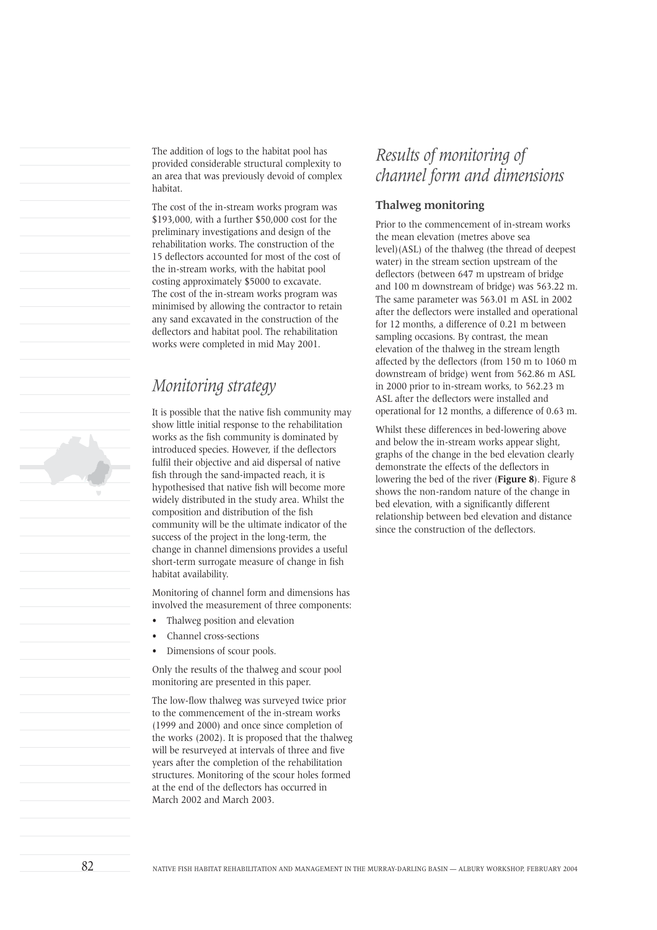The addition of logs to the habitat pool has provided considerable structural complexity to an area that was previously devoid of complex habitat.

The cost of the in-stream works program was \$193,000, with a further \$50,000 cost for the preliminary investigations and design of the rehabilitation works. The construction of the 15 deflectors accounted for most of the cost of the in-stream works, with the habitat pool costing approximately \$5000 to excavate. The cost of the in-stream works program was minimised by allowing the contractor to retain any sand excavated in the construction of the deflectors and habitat pool. The rehabilitation works were completed in mid May 2001.

# *Monitoring strategy*

It is possible that the native fish community may show little initial response to the rehabilitation works as the fish community is dominated by introduced species. However, if the deflectors fulfil their objective and aid dispersal of native fish through the sand-impacted reach, it is hypothesised that native fish will become more widely distributed in the study area. Whilst the composition and distribution of the fish community will be the ultimate indicator of the success of the project in the long-term, the change in channel dimensions provides a useful short-term surrogate measure of change in fish habitat availability.

Monitoring of channel form and dimensions has involved the measurement of three components:

- Thalweg position and elevation
- Channel cross-sections
- Dimensions of scour pools.

Only the results of the thalweg and scour pool monitoring are presented in this paper.

The low-flow thalweg was surveyed twice prior to the commencement of the in-stream works (1999 and 2000) and once since completion of the works (2002). It is proposed that the thalweg will be resurveyed at intervals of three and five years after the completion of the rehabilitation structures. Monitoring of the scour holes formed at the end of the deflectors has occurred in March 2002 and March 2003.

# *Results of monitoring of channel form and dimensions*

#### **Thalweg monitoring**

Prior to the commencement of in-stream works the mean elevation (metres above sea level)(ASL) of the thalweg (the thread of deepest water) in the stream section upstream of the deflectors (between 647 m upstream of bridge and 100 m downstream of bridge) was 563.22 m. The same parameter was 563.01 m ASL in 2002 after the deflectors were installed and operational for 12 months, a difference of 0.21 m between sampling occasions. By contrast, the mean elevation of the thalweg in the stream length affected by the deflectors (from 150 m to 1060 m downstream of bridge) went from 562.86 m ASL in 2000 prior to in-stream works, to 562.23 m ASL after the deflectors were installed and operational for 12 months, a difference of 0.63 m.

Whilst these differences in bed-lowering above and below the in-stream works appear slight, graphs of the change in the bed elevation clearly demonstrate the effects of the deflectors in lowering the bed of the river (**Figure 8**). Figure 8 shows the non-random nature of the change in bed elevation, with a significantly different relationship between bed elevation and distance since the construction of the deflectors.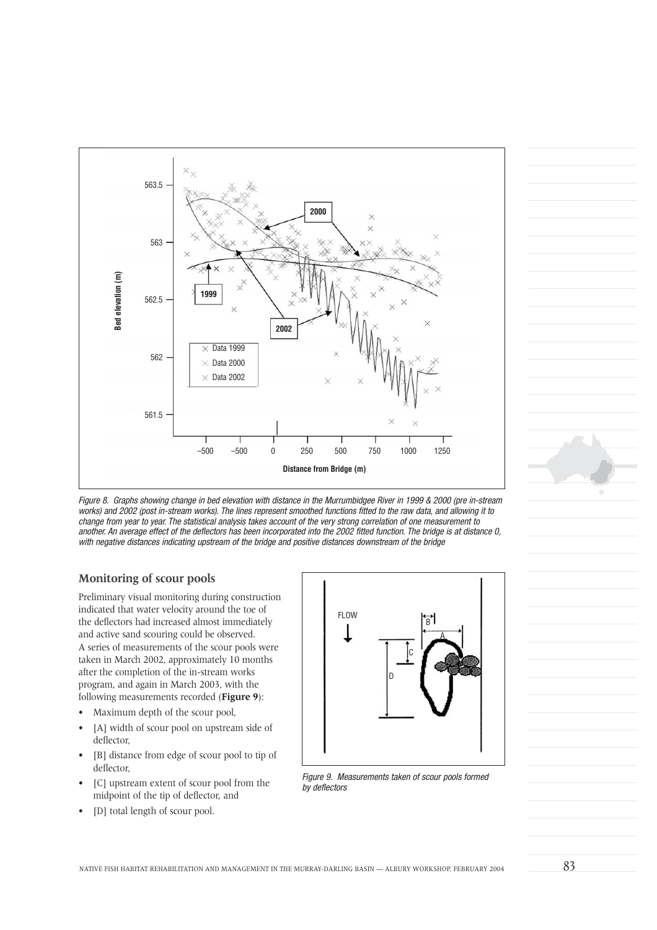

Figure 8. Graphs showing change in bed elevation with distance in the Murrumbidgee River in 1999 & 2000 (pre in-stream works) and 2002 (post in-stream works). The lines represent smoothed functions fitted to the raw data, and allowing it to change from year to year. The statistical analysis takes account of the very strong correlation of one measurement to another. An average effect of the deflectors has been incorporated into the 2002 fitted function. The bridge is at distance 0, with negative distances indicating upstream of the bridge and positive distances downstream of the bridge

#### **Monitoring of scour pools**

Preliminary visual monitoring during construction indicated that water velocity around the toe of the deflectors had increased almost immediately and active sand scouring could be observed. A series of measurements of the scour pools were taken in March 2002, approximately 10 months after the completion of the in-stream works program, and again in March 2003, with the following measurements recorded (**Figure 9**):

- Maximum depth of the scour pool,
- [A] width of scour pool on upstream side of deflector,
- [B] distance from edge of scour pool to tip of deflector,
- [C] upstream extent of scour pool from the midpoint of the tip of deflector, and
- [D] total length of scour pool.



Figure 9. Measurements taken of scour pools formed by deflectors



NATIVE FISH HABITAT REHABILITATION AND MANAGEMENT IN THE MURRAY-DARLING BASIN — ALBURY WORKSHOP, FEBRUARY 2004  $\,$   $\,83$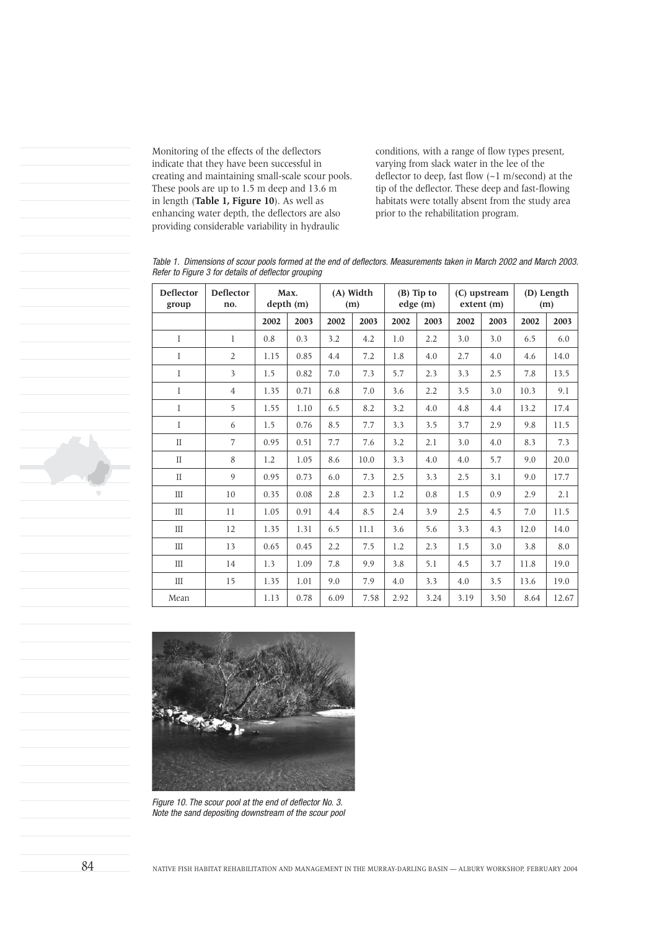Monitoring of the effects of the deflectors indicate that they have been successful in creating and maintaining small-scale scour pools. These pools are up to 1.5 m deep and 13.6 m in length (**Table 1, Figure 10**). As well as enhancing water depth, the deflectors are also providing considerable variability in hydraulic

conditions, with a range of flow types present, varying from slack water in the lee of the deflector to deep, fast flow (~1 m/second) at the tip of the deflector. These deep and fast-flowing habitats were totally absent from the study area prior to the rehabilitation program.

Table 1. Dimensions of scour pools formed at the end of deflectors. Measurements taken in March 2002 and March 2003. Refer to Figure 3 for details of deflector grouping

| <b>Deflector</b><br>group        | <b>Deflector</b><br>no. | Max.<br>depth (m) |      | (A) Width<br>(m) |      | $(B)$ Tip to<br>edge (m) |      | (C) upstream<br>extent (m) |      | (D) Length<br>(m) |       |
|----------------------------------|-------------------------|-------------------|------|------------------|------|--------------------------|------|----------------------------|------|-------------------|-------|
|                                  |                         | 2002              | 2003 | 2002             | 2003 | 2002                     | 2003 | 2002                       | 2003 | 2002              | 2003  |
| I                                | 1                       | 0.8               | 0.3  | 3.2              | 4.2  | 1.0                      | 2.2  | 3.0                        | 3.0  | 6.5               | 6.0   |
| I                                | $\overline{2}$          | 1.15              | 0.85 | 4.4              | 7.2  | 1.8                      | 4.0  | 2.7                        | 4.0  | 4.6               | 14.0  |
| I                                | 3                       | 1.5               | 0.82 | 7.0              | 7.3  | 5.7                      | 2.3  | 3.3                        | 2.5  | 7.8               | 13.5  |
| I                                | $\overline{4}$          | 1.35              | 0.71 | 6.8              | 7.0  | 3.6                      | 2.2  | 3.5                        | 3.0  | 10.3              | 9.1   |
| I                                | 5                       | 1.55              | 1.10 | 6.5              | 8.2  | 3.2                      | 4.0  | 4.8                        | 4.4  | 13.2              | 17.4  |
| I                                | 6                       | 1.5               | 0.76 | 8.5              | 7.7  | 3.3                      | 3.5  | 3.7                        | 2.9  | 9.8               | 11.5  |
| $\mathcal{I}$                    | 7                       | 0.95              | 0.51 | 7.7              | 7.6  | 3.2                      | 2.1  | 3.0                        | 4.0  | 8.3               | 7.3   |
| $\mathcal{I}$                    | 8                       | 1.2               | 1.05 | 8.6              | 10.0 | 3.3                      | 4.0  | 4.0                        | 5.7  | 9.0               | 20.0  |
| $\mathcal{I}$                    | 9                       | 0.95              | 0.73 | 6.0              | 7.3  | 2.5                      | 3.3  | 2.5                        | 3.1  | 9.0               | 17.7  |
| Ш                                | 10                      | 0.35              | 0.08 | 2.8              | 2.3  | 1.2                      | 0.8  | 1.5                        | 0.9  | 2.9               | 2.1   |
| $\mathop{\mathrm{III}}\nolimits$ | 11                      | 1.05              | 0.91 | 4.4              | 8.5  | 2.4                      | 3.9  | 2.5                        | 4.5  | 7.0               | 11.5  |
| $\mathbf{m}$                     | 12                      | 1.35              | 1.31 | 6.5              | 11.1 | 3.6                      | 5.6  | 3.3                        | 4.3  | 12.0              | 14.0  |
| $\mathop{\mathrm{III}}\nolimits$ | 13                      | 0.65              | 0.45 | 2.2              | 7.5  | 1.2                      | 2.3  | 1.5                        | 3.0  | 3.8               | 8.0   |
| Ш                                | 14                      | 1.3               | 1.09 | 7.8              | 9.9  | 3.8                      | 5.1  | 4.5                        | 3.7  | 11.8              | 19.0  |
| Ш                                | 15                      | 1.35              | 1.01 | 9.0              | 7.9  | 4.0                      | 3.3  | 4.0                        | 3.5  | 13.6              | 19.0  |
| Mean                             |                         | 1.13              | 0.78 | 6.09             | 7.58 | 2.92                     | 3.24 | 3.19                       | 3.50 | 8.64              | 12.67 |



Figure 10. The scour pool at the end of deflector No. 3. Note the sand depositing downstream of the scour pool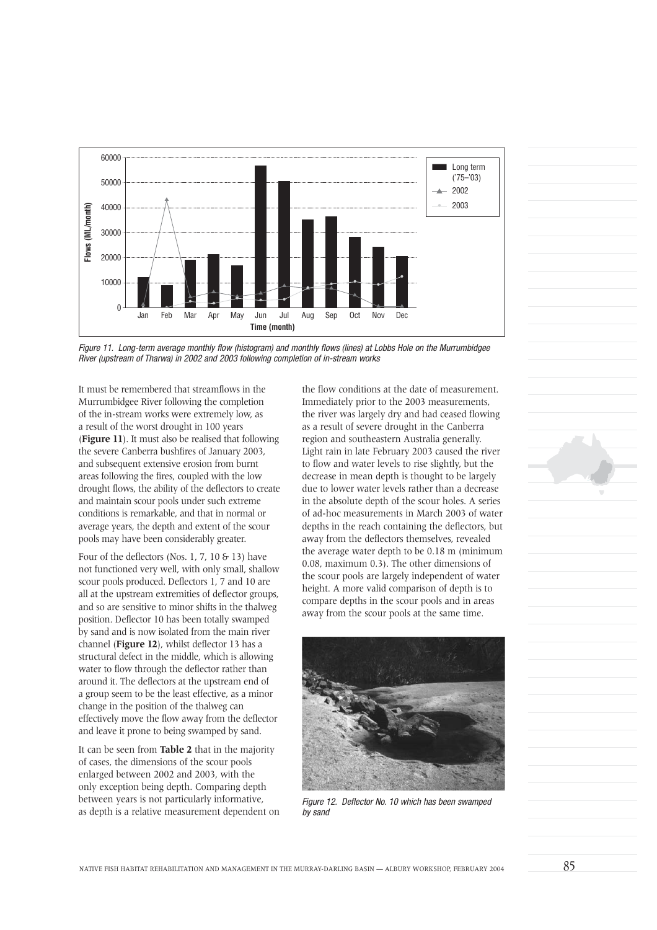

Figure 11. Long-term average monthly flow (histogram) and monthly flows (lines) at Lobbs Hole on the Murrumbidgee River (upstream of Tharwa) in 2002 and 2003 following completion of in-stream works

It must be remembered that streamflows in the Murrumbidgee River following the completion of the in-stream works were extremely low, as a result of the worst drought in 100 years (**Figure 11**). It must also be realised that following the severe Canberra bushfires of January 2003, and subsequent extensive erosion from burnt areas following the fires, coupled with the low drought flows, the ability of the deflectors to create and maintain scour pools under such extreme conditions is remarkable, and that in normal or average years, the depth and extent of the scour pools may have been considerably greater.

Four of the deflectors (Nos. 1, 7, 10  $6$  13) have not functioned very well, with only small, shallow scour pools produced. Deflectors 1, 7 and 10 are all at the upstream extremities of deflector groups, and so are sensitive to minor shifts in the thalweg position. Deflector 10 has been totally swamped by sand and is now isolated from the main river channel (**Figure 12**), whilst deflector 13 has a structural defect in the middle, which is allowing water to flow through the deflector rather than around it. The deflectors at the upstream end of a group seem to be the least effective, as a minor change in the position of the thalweg can effectively move the flow away from the deflector and leave it prone to being swamped by sand.

It can be seen from **Table 2** that in the majority of cases, the dimensions of the scour pools enlarged between 2002 and 2003, with the only exception being depth. Comparing depth between years is not particularly informative, as depth is a relative measurement dependent on the flow conditions at the date of measurement. Immediately prior to the 2003 measurements, the river was largely dry and had ceased flowing as a result of severe drought in the Canberra region and southeastern Australia generally. Light rain in late February 2003 caused the river to flow and water levels to rise slightly, but the decrease in mean depth is thought to be largely due to lower water levels rather than a decrease in the absolute depth of the scour holes. A series of ad-hoc measurements in March 2003 of water depths in the reach containing the deflectors, but away from the deflectors themselves, revealed the average water depth to be 0.18 m (minimum 0.08, maximum 0.3). The other dimensions of the scour pools are largely independent of water height. A more valid comparison of depth is to compare depths in the scour pools and in areas away from the scour pools at the same time.



Figure 12. Deflector No. 10 which has been swamped by sand

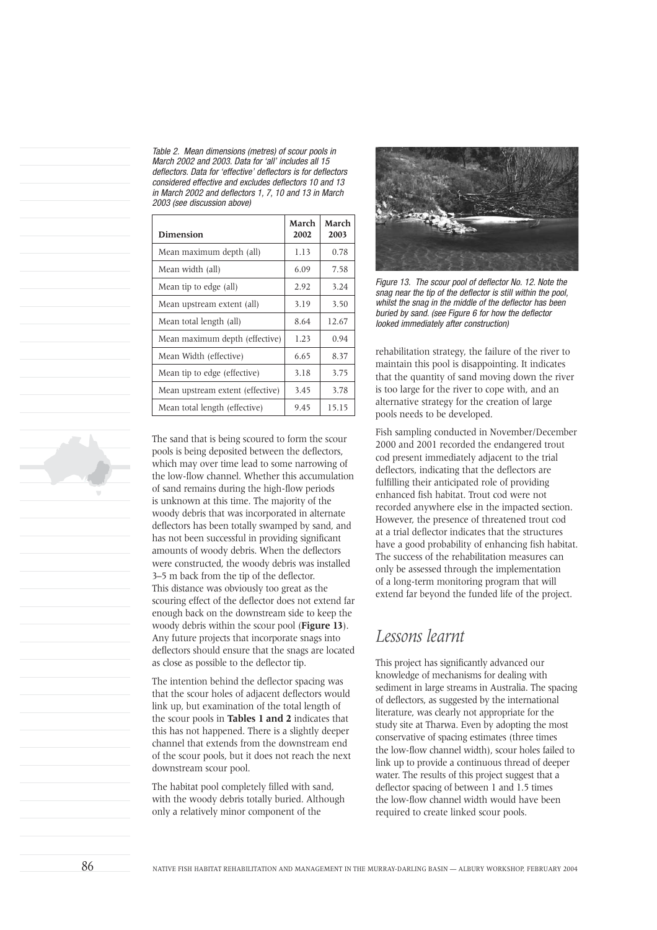Table 2. Mean dimensions (metres) of scour pools in March 2002 and 2003. Data for 'all' includes all 15 deflectors. Data for 'effective' deflectors is for deflectors considered effective and excludes deflectors 10 and 13 in March 2002 and deflectors 1, 7, 10 and 13 in March 2003 (see discussion above)

| <b>Dimension</b>                 | March<br>2002 | March<br>2003 |
|----------------------------------|---------------|---------------|
| Mean maximum depth (all)         | 1.13          | 0.78          |
| Mean width (all)                 | 6.09          | 7.58          |
| Mean tip to edge (all)           | 2.92          | 3.24          |
| Mean upstream extent (all)       | 3.19          | 3.50          |
| Mean total length (all)          | 8.64          | 12.67         |
| Mean maximum depth (effective)   | 1.23          | 0.94          |
| Mean Width (effective)           | 6.65          | 8.37          |
| Mean tip to edge (effective)     | 3.18          | 3.75          |
| Mean upstream extent (effective) | 3.45          | 3.78          |
| Mean total length (effective)    | 9.45          | 15.15         |

The sand that is being scoured to form the scour pools is being deposited between the deflectors, which may over time lead to some narrowing of the low-flow channel. Whether this accumulation of sand remains during the high-flow periods is unknown at this time. The majority of the woody debris that was incorporated in alternate deflectors has been totally swamped by sand, and has not been successful in providing significant amounts of woody debris. When the deflectors were constructed, the woody debris was installed 3–5 m back from the tip of the deflector. This distance was obviously too great as the scouring effect of the deflector does not extend far enough back on the downstream side to keep the woody debris within the scour pool (**Figure 13**). Any future projects that incorporate snags into deflectors should ensure that the snags are located as close as possible to the deflector tip.

The intention behind the deflector spacing was that the scour holes of adjacent deflectors would link up, but examination of the total length of the scour pools in **Tables 1 and 2** indicates that this has not happened. There is a slightly deeper channel that extends from the downstream end of the scour pools, but it does not reach the next downstream scour pool.

The habitat pool completely filled with sand, with the woody debris totally buried. Although only a relatively minor component of the



Figure 13. The scour pool of deflector No. 12. Note the snag near the tip of the deflector is still within the pool, whilst the snag in the middle of the deflector has been buried by sand. (see Figure 6 for how the deflector looked immediately after construction)

rehabilitation strategy, the failure of the river to maintain this pool is disappointing. It indicates that the quantity of sand moving down the river is too large for the river to cope with, and an alternative strategy for the creation of large pools needs to be developed.

Fish sampling conducted in November/December 2000 and 2001 recorded the endangered trout cod present immediately adjacent to the trial deflectors, indicating that the deflectors are fulfilling their anticipated role of providing enhanced fish habitat. Trout cod were not recorded anywhere else in the impacted section. However, the presence of threatened trout cod at a trial deflector indicates that the structures have a good probability of enhancing fish habitat. The success of the rehabilitation measures can only be assessed through the implementation of a long-term monitoring program that will extend far beyond the funded life of the project.

## *Lessons learnt*

This project has significantly advanced our knowledge of mechanisms for dealing with sediment in large streams in Australia. The spacing of deflectors, as suggested by the international literature, was clearly not appropriate for the study site at Tharwa. Even by adopting the most conservative of spacing estimates (three times the low-flow channel width), scour holes failed to link up to provide a continuous thread of deeper water. The results of this project suggest that a deflector spacing of between 1 and 1.5 times the low-flow channel width would have been required to create linked scour pools.